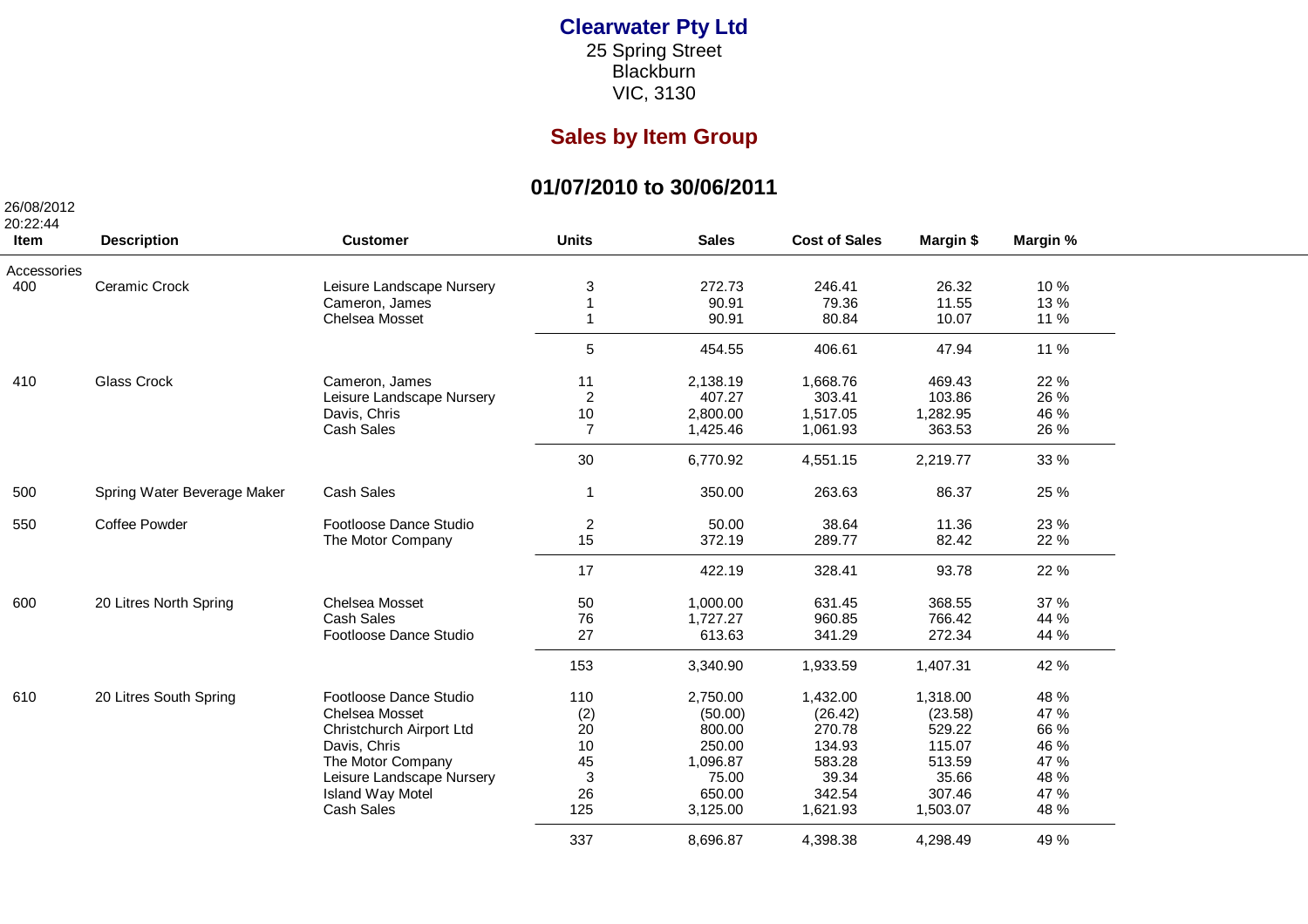## **Clearwater Pty Ltd** 25 Spring Street Blackburn

VIC, 3130

## **Sales by Item Group**

## **01/07/2010 to 30/06/2011**

| 26/08/2012<br>20:22:44 |                             |                           |                |              |                      |           |          |
|------------------------|-----------------------------|---------------------------|----------------|--------------|----------------------|-----------|----------|
| Item                   | <b>Description</b>          | <b>Customer</b>           | <b>Units</b>   | <b>Sales</b> | <b>Cost of Sales</b> | Margin \$ | Margin % |
| Accessories            |                             |                           |                |              |                      |           |          |
| 400                    | Ceramic Crock               | Leisure Landscape Nursery | 3              | 272.73       | 246.41               | 26.32     | 10%      |
|                        |                             | Cameron, James            |                | 90.91        | 79.36                | 11.55     | 13%      |
|                        |                             | Chelsea Mosset            |                | 90.91        | 80.84                | 10.07     | 11 %     |
|                        |                             |                           | 5              | 454.55       | 406.61               | 47.94     | 11 %     |
| 410                    | Glass Crock                 | Cameron, James            | 11             | 2,138.19     | 1,668.76             | 469.43    | 22 %     |
|                        |                             | Leisure Landscape Nursery | $\overline{a}$ | 407.27       | 303.41               | 103.86    | 26 %     |
|                        |                             | Davis, Chris              | $10$           | 2,800.00     | 1,517.05             | 1,282.95  | 46 %     |
|                        |                             | Cash Sales                | $\overline{7}$ | 1,425.46     | 1,061.93             | 363.53    | 26 %     |
|                        |                             |                           | 30             | 6,770.92     | 4,551.15             | 2,219.77  | 33 %     |
| 500                    | Spring Water Beverage Maker | Cash Sales                | $\mathbf{1}$   | 350.00       | 263.63               | 86.37     | 25 %     |
| 550                    | <b>Coffee Powder</b>        | Footloose Dance Studio    | 2              | 50.00        | 38.64                | 11.36     | 23 %     |
|                        |                             | The Motor Company         | 15             | 372.19       | 289.77               | 82.42     | 22 %     |
|                        |                             |                           | 17             | 422.19       | 328.41               | 93.78     | 22 %     |
| 600                    | 20 Litres North Spring      | Chelsea Mosset            | 50             | 1,000.00     | 631.45               | 368.55    | 37 %     |
|                        |                             | <b>Cash Sales</b>         | 76             | 1,727.27     | 960.85               | 766.42    | 44 %     |
|                        |                             | Footloose Dance Studio    | 27             | 613.63       | 341.29               | 272.34    | 44 %     |
|                        |                             |                           | 153            | 3,340.90     | 1,933.59             | 1,407.31  | 42 %     |
| 610                    | 20 Litres South Spring      | Footloose Dance Studio    | 110            | 2,750.00     | 1,432.00             | 1,318.00  | 48 %     |
|                        |                             | Chelsea Mosset            | (2)            | (50.00)      | (26.42)              | (23.58)   | 47 %     |
|                        |                             | Christchurch Airport Ltd  | 20             | 800.00       | 270.78               | 529.22    | 66 %     |
|                        |                             | Davis, Chris              | 10             | 250.00       | 134.93               | 115.07    | 46 %     |
|                        |                             | The Motor Company         | 45             | 1,096.87     | 583.28               | 513.59    | 47 %     |
|                        |                             | Leisure Landscape Nursery | $\sqrt{3}$     | 75.00        | 39.34                | 35.66     | 48 %     |
|                        |                             | <b>Island Way Motel</b>   | 26             | 650.00       | 342.54               | 307.46    | 47 %     |
|                        |                             | Cash Sales                | 125            | 3,125.00     | 1,621.93             | 1,503.07  | 48 %     |
|                        |                             |                           | 337            | 8,696.87     | 4,398.38             | 4,298.49  | 49 %     |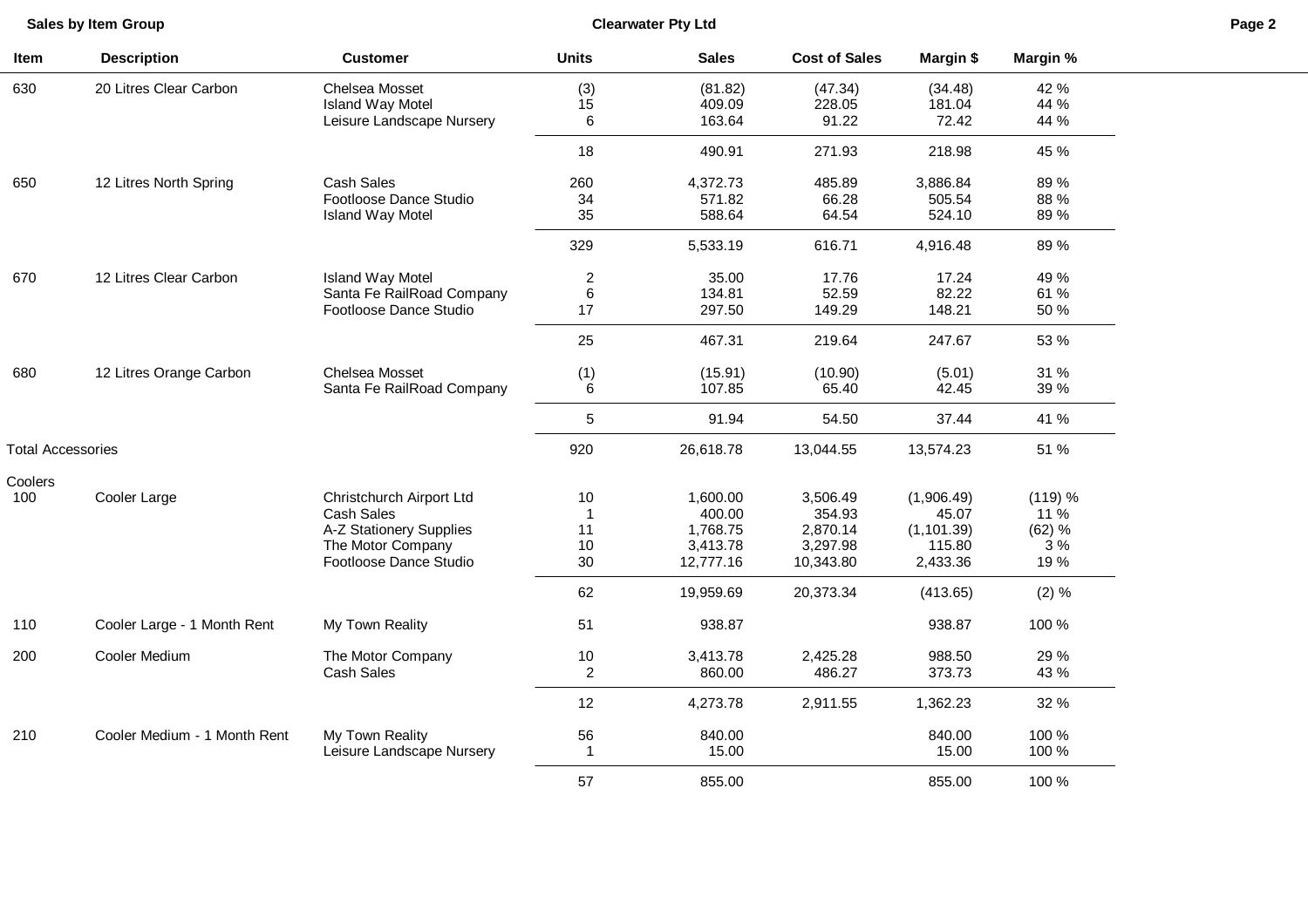**Sales by Item Group**

L

**Clearwater Pty Ltd Page 2**

| Item                     | <b>Description</b>           | <b>Customer</b>                           | <b>Units</b>   | <b>Sales</b>       | <b>Cost of Sales</b> | Margin \$            | Margin %       |
|--------------------------|------------------------------|-------------------------------------------|----------------|--------------------|----------------------|----------------------|----------------|
| 630                      | 20 Litres Clear Carbon       | Chelsea Mosset<br><b>Island Way Motel</b> | (3)<br>15      | (81.82)<br>409.09  | (47.34)<br>228.05    | (34.48)<br>181.04    | 42 %<br>44 %   |
|                          |                              | Leisure Landscape Nursery                 | 6              | 163.64             | 91.22                | 72.42                | 44 %           |
|                          |                              |                                           | 18             | 490.91             | 271.93               | 218.98               | 45 %           |
| 650                      | 12 Litres North Spring       | Cash Sales                                | 260            | 4,372.73           | 485.89               | 3,886.84             | 89%            |
|                          |                              | Footloose Dance Studio                    | 34             | 571.82             | 66.28                | 505.54               | 88 %           |
|                          |                              | <b>Island Way Motel</b>                   | 35             | 588.64             | 64.54                | 524.10               | 89 %           |
|                          |                              |                                           | 329            | 5,533.19           | 616.71               | 4,916.48             | 89%            |
| 670                      | 12 Litres Clear Carbon       | <b>Island Way Motel</b>                   | $\overline{c}$ | 35.00              | 17.76                | 17.24                | 49 %           |
|                          |                              | Santa Fe RailRoad Company                 | $\,6$          | 134.81             | 52.59                | 82.22                | 61 %           |
|                          |                              | Footloose Dance Studio                    | 17             | 297.50             | 149.29               | 148.21               | 50 %           |
|                          |                              |                                           | 25             | 467.31             | 219.64               | 247.67               | 53 %           |
| 680                      | 12 Litres Orange Carbon      | Chelsea Mosset                            | (1)            | (15.91)            | (10.90)              | (5.01)               | 31 %           |
|                          |                              | Santa Fe RailRoad Company                 | 6              | 107.85             | 65.40                | 42.45                | 39 %           |
|                          |                              |                                           | 5              | 91.94              | 54.50                | 37.44                | 41 %           |
| <b>Total Accessories</b> |                              |                                           | 920            | 26,618.78          | 13,044.55            | 13,574.23            | 51 %           |
| Coolers                  |                              |                                           |                |                    |                      |                      |                |
| 100                      | Cooler Large                 | Christchurch Airport Ltd                  | 10<br>1        | 1,600.00           | 3,506.49             | (1,906.49)           | (119) %        |
|                          |                              | Cash Sales<br>A-Z Stationery Supplies     | 11             | 400.00<br>1,768.75 | 354.93<br>2,870.14   | 45.07<br>(1, 101.39) | 11 %<br>(62) % |
|                          |                              | The Motor Company                         | 10             | 3,413.78           | 3,297.98             | 115.80               | 3%             |
|                          |                              | Footloose Dance Studio                    | 30             | 12,777.16          | 10,343.80            | 2,433.36             | 19%            |
|                          |                              |                                           | 62             | 19,959.69          | 20,373.34            | (413.65)             | $(2) \%$       |
| 110                      | Cooler Large - 1 Month Rent  | My Town Reality                           | 51             | 938.87             |                      | 938.87               | 100 %          |
| 200                      | Cooler Medium                | The Motor Company                         | 10             | 3,413.78           | 2,425.28             | 988.50               | 29 %           |
|                          |                              | Cash Sales                                | $\overline{c}$ | 860.00             | 486.27               | 373.73               | 43 %           |
|                          |                              |                                           | 12             | 4,273.78           | 2,911.55             | 1,362.23             | 32 %           |
| 210                      | Cooler Medium - 1 Month Rent | My Town Reality                           | 56             | 840.00             |                      | 840.00               | 100 %          |
|                          |                              | Leisure Landscape Nursery                 | 1              | 15.00              |                      | 15.00                | 100 %          |
|                          |                              |                                           | 57             | 855.00             |                      | 855.00               | 100 %          |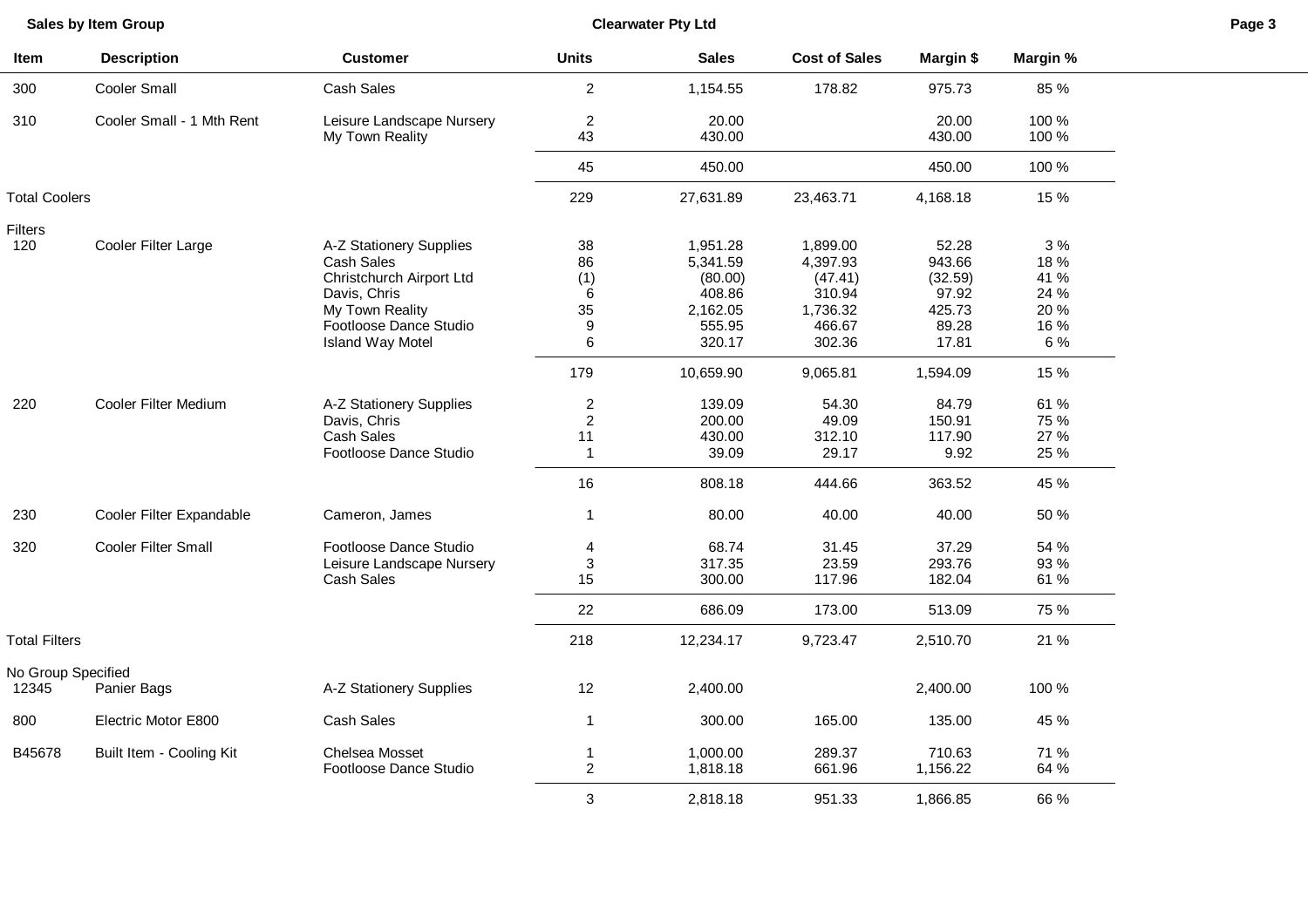| Sales by Item Group         |                            | <b>Clearwater Pty Ltd</b>                                                         |                                                              |                                               |                                             |                                             |                                      | Page 3 |
|-----------------------------|----------------------------|-----------------------------------------------------------------------------------|--------------------------------------------------------------|-----------------------------------------------|---------------------------------------------|---------------------------------------------|--------------------------------------|--------|
| Item                        | <b>Description</b>         | <b>Customer</b>                                                                   | <b>Units</b>                                                 | <b>Sales</b>                                  | <b>Cost of Sales</b>                        | Margin \$                                   | Margin %                             |        |
| 300                         | Cooler Small               | Cash Sales                                                                        | $\overline{c}$                                               | 1,154.55                                      | 178.82                                      | 975.73                                      | 85 %                                 |        |
| 310                         | Cooler Small - 1 Mth Rent  | Leisure Landscape Nursery<br>My Town Reality                                      | $\overline{2}$<br>43                                         | 20.00<br>430.00                               |                                             | 20.00<br>430.00                             | 100 %<br>100 %                       |        |
|                             |                            |                                                                                   | 45                                                           | 450.00                                        |                                             | 450.00                                      | 100 %                                |        |
|                             |                            |                                                                                   |                                                              |                                               |                                             |                                             |                                      |        |
| <b>Total Coolers</b>        |                            |                                                                                   | 229                                                          | 27,631.89                                     | 23,463.71                                   | 4,168.18                                    | 15 %                                 |        |
| <b>Filters</b><br>120       | Cooler Filter Large        | A-Z Stationery Supplies<br>Cash Sales<br>Christchurch Airport Ltd<br>Davis, Chris | 38<br>86<br>(1)<br>6                                         | 1,951.28<br>5,341.59<br>(80.00)<br>408.86     | 1,899.00<br>4,397.93<br>(47.41)<br>310.94   | 52.28<br>943.66<br>(32.59)<br>97.92         | 3%<br>18 %<br>41 %<br>24 %           |        |
|                             |                            | My Town Reality<br>Footloose Dance Studio<br><b>Island Way Motel</b>              | 35<br>9<br>6                                                 | 2,162.05<br>555.95<br>320.17                  | 1,736.32<br>466.67<br>302.36                | 425.73<br>89.28<br>17.81                    | 20%<br>16 %<br>6 %                   |        |
|                             |                            |                                                                                   | 179                                                          | 10,659.90                                     | 9,065.81                                    | 1,594.09                                    | 15 %                                 |        |
| 220                         | Cooler Filter Medium       | A-Z Stationery Supplies<br>Davis, Chris<br>Cash Sales<br>Footloose Dance Studio   | $\overline{c}$<br>$\overline{2}$<br>11<br>$\mathbf{1}$<br>16 | 139.09<br>200.00<br>430.00<br>39.09<br>808.18 | 54.30<br>49.09<br>312.10<br>29.17<br>444.66 | 84.79<br>150.91<br>117.90<br>9.92<br>363.52 | 61 %<br>75 %<br>27 %<br>25 %<br>45 % |        |
| 230                         | Cooler Filter Expandable   | Cameron, James                                                                    | $\mathbf{1}$                                                 | 80.00                                         | 40.00                                       | 40.00                                       | 50 %                                 |        |
| 320                         | <b>Cooler Filter Small</b> | Footloose Dance Studio<br>Leisure Landscape Nursery<br>Cash Sales                 | $\overline{4}$<br>3<br>15<br>22                              | 68.74<br>317.35<br>300.00<br>686.09           | 31.45<br>23.59<br>117.96<br>173.00          | 37.29<br>293.76<br>182.04<br>513.09         | 54 %<br>93 %<br>61 %<br>75 %         |        |
| <b>Total Filters</b>        |                            |                                                                                   | 218                                                          | 12,234.17                                     | 9,723.47                                    | 2,510.70                                    | 21 %                                 |        |
| No Group Specified<br>12345 | Panier Bags                | A-Z Stationery Supplies                                                           | 12                                                           | 2,400.00                                      |                                             | 2,400.00                                    | 100 %                                |        |
| 800                         | Electric Motor E800        | Cash Sales                                                                        | $\mathbf{1}$                                                 | 300.00                                        | 165.00                                      | 135.00                                      | 45 %                                 |        |
| B45678                      | Built Item - Cooling Kit   | Chelsea Mosset<br>Footloose Dance Studio                                          | $\mathbf{1}$<br>$\overline{2}$                               | 1,000.00<br>1,818.18                          | 289.37<br>661.96                            | 710.63<br>1,156.22                          | 71 %<br>64 %                         |        |
|                             |                            |                                                                                   | 3                                                            | 2,818.18                                      | 951.33                                      | 1,866.85                                    | 66 %                                 |        |